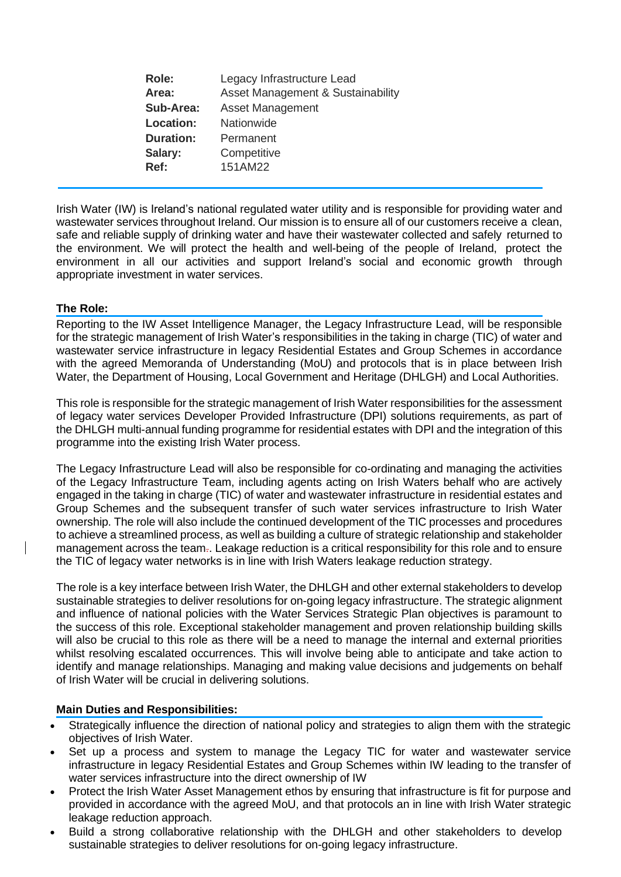| <b>Role:</b>     | Legacy Infrastructure Lead                   |
|------------------|----------------------------------------------|
| Area:            | <b>Asset Management &amp; Sustainability</b> |
| Sub-Area:        | <b>Asset Management</b>                      |
| <b>Location:</b> | Nationwide                                   |
| <b>Duration:</b> | Permanent                                    |
| Salary:          | Competitive                                  |
| Ref:             | 151AM22                                      |
|                  |                                              |

Irish Water (IW) is Ireland's national regulated water utility and is responsible for providing water and wastewater services throughout Ireland. Our mission is to ensure all of our customers receive a clean, safe and reliable supply of drinking water and have their wastewater collected and safely returned to the environment. We will protect the health and well-being of the people of Ireland, protect the environment in all our activities and support Ireland's social and economic growth through appropriate investment in water services.

## **The Role:**

Reporting to the IW Asset Intelligence Manager, the Legacy Infrastructure Lead, will be responsible for the strategic management of Irish Water's responsibilities in the taking in charge (TIC) of water and wastewater service infrastructure in legacy Residential Estates and Group Schemes in accordance with the agreed Memoranda of Understanding (MoU) and protocols that is in place between Irish Water, the Department of Housing, Local Government and Heritage (DHLGH) and Local Authorities.

This role is responsible for the strategic management of Irish Water responsibilities for the assessment of legacy water services Developer Provided Infrastructure (DPI) solutions requirements, as part of the DHLGH multi-annual funding programme for residential estates with DPI and the integration of this programme into the existing Irish Water process.

The Legacy Infrastructure Lead will also be responsible for co-ordinating and managing the activities of the Legacy Infrastructure Team, including agents acting on Irish Waters behalf who are actively engaged in the taking in charge (TIC) of water and wastewater infrastructure in residential estates and Group Schemes and the subsequent transfer of such water services infrastructure to Irish Water ownership. The role will also include the continued development of the TIC processes and procedures to achieve a streamlined process, as well as building a culture of strategic relationship and stakeholder management across the team.. Leakage reduction is a critical responsibility for this role and to ensure the TIC of legacy water networks is in line with Irish Waters leakage reduction strategy.

The role is a key interface between Irish Water, the DHLGH and other external stakeholders to develop sustainable strategies to deliver resolutions for on-going legacy infrastructure. The strategic alignment and influence of national policies with the Water Services Strategic Plan objectives is paramount to the success of this role. Exceptional stakeholder management and proven relationship building skills will also be crucial to this role as there will be a need to manage the internal and external priorities whilst resolving escalated occurrences. This will involve being able to anticipate and take action to identify and manage relationships. Managing and making value decisions and judgements on behalf of Irish Water will be crucial in delivering solutions.

## **Main Duties and Responsibilities:**

- Strategically influence the direction of national policy and strategies to align them with the strategic objectives of Irish Water.
- Set up a process and system to manage the Legacy TIC for water and wastewater service infrastructure in legacy Residential Estates and Group Schemes within IW leading to the transfer of water services infrastructure into the direct ownership of IW
- Protect the Irish Water Asset Management ethos by ensuring that infrastructure is fit for purpose and provided in accordance with the agreed MoU, and that protocols an in line with Irish Water strategic leakage reduction approach.
- Build a strong collaborative relationship with the DHLGH and other stakeholders to develop sustainable strategies to deliver resolutions for on-going legacy infrastructure.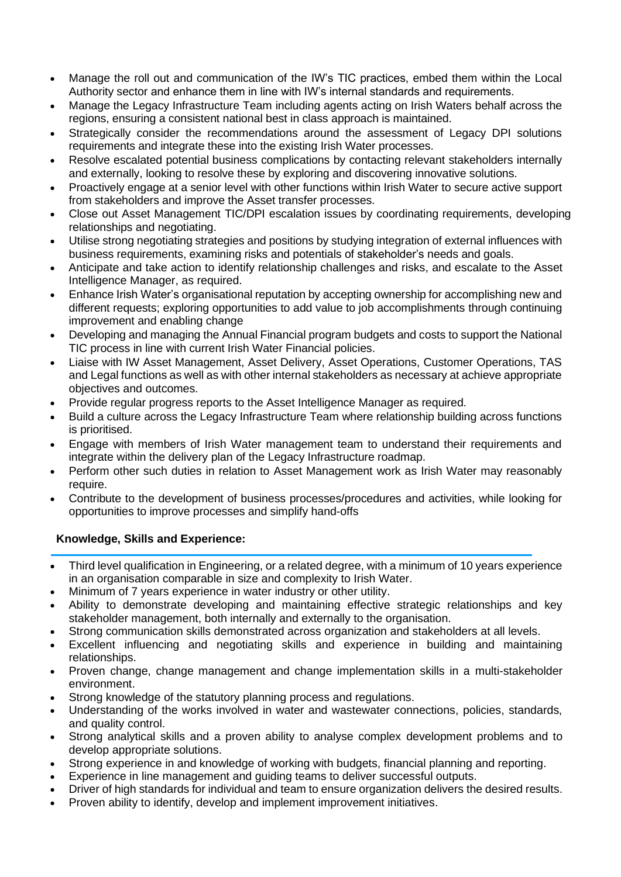- Manage the roll out and communication of the IW's TIC practices, embed them within the Local Authority sector and enhance them in line with IW's internal standards and requirements.
- Manage the Legacy Infrastructure Team including agents acting on Irish Waters behalf across the regions, ensuring a consistent national best in class approach is maintained.
- Strategically consider the recommendations around the assessment of Legacy DPI solutions requirements and integrate these into the existing Irish Water processes.
- Resolve escalated potential business complications by contacting relevant stakeholders internally and externally, looking to resolve these by exploring and discovering innovative solutions.
- Proactively engage at a senior level with other functions within Irish Water to secure active support from stakeholders and improve the Asset transfer processes.
- Close out Asset Management TIC/DPI escalation issues by coordinating requirements, developing relationships and negotiating.
- Utilise strong negotiating strategies and positions by studying integration of external influences with business requirements, examining risks and potentials of stakeholder's needs and goals.
- Anticipate and take action to identify relationship challenges and risks, and escalate to the Asset Intelligence Manager, as required.
- Enhance Irish Water's organisational reputation by accepting ownership for accomplishing new and different requests; exploring opportunities to add value to job accomplishments through continuing improvement and enabling change
- Developing and managing the Annual Financial program budgets and costs to support the National TIC process in line with current Irish Water Financial policies.
- Liaise with IW Asset Management, Asset Delivery, Asset Operations, Customer Operations, TAS and Legal functions as well as with other internal stakeholders as necessary at achieve appropriate objectives and outcomes.
- Provide regular progress reports to the Asset Intelligence Manager as required.
- Build a culture across the Legacy Infrastructure Team where relationship building across functions is prioritised.
- Engage with members of Irish Water management team to understand their requirements and integrate within the delivery plan of the Legacy Infrastructure roadmap.
- Perform other such duties in relation to Asset Management work as Irish Water may reasonably require.
- Contribute to the development of business processes/procedures and activities, while looking for opportunities to improve processes and simplify hand-offs

## **Knowledge, Skills and Experience:**

- Third level qualification in Engineering, or a related degree, with a minimum of 10 years experience in an organisation comparable in size and complexity to Irish Water.
- Minimum of 7 years experience in water industry or other utility.
- Ability to demonstrate developing and maintaining effective strategic relationships and key stakeholder management, both internally and externally to the organisation.
- Strong communication skills demonstrated across organization and stakeholders at all levels.
- Excellent influencing and negotiating skills and experience in building and maintaining relationships.
- Proven change, change management and change implementation skills in a multi-stakeholder environment.
- Strong knowledge of the statutory planning process and regulations.
- Understanding of the works involved in water and wastewater connections, policies, standards, and quality control.
- Strong analytical skills and a proven ability to analyse complex development problems and to develop appropriate solutions.
- Strong experience in and knowledge of working with budgets, financial planning and reporting.
- Experience in line management and guiding teams to deliver successful outputs.
- Driver of high standards for individual and team to ensure organization delivers the desired results.
- Proven ability to identify, develop and implement improvement initiatives.